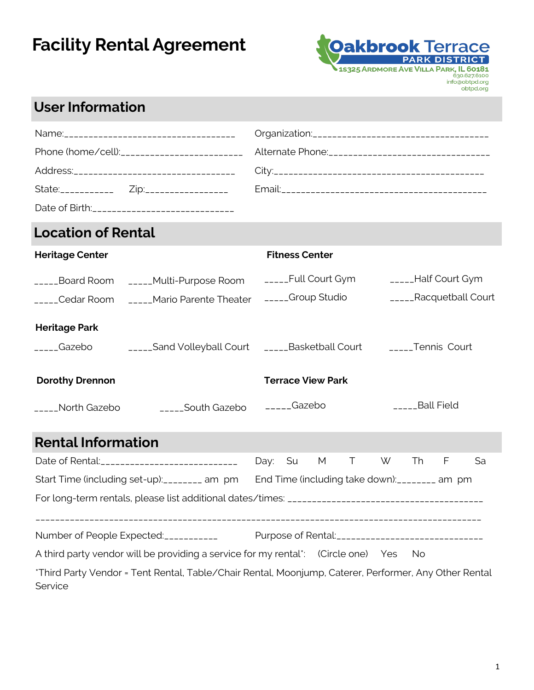

### **User Information**

| Phone (home/cell):__________________________ | Alternate Phone: ___________________________________ |
|----------------------------------------------|------------------------------------------------------|
|                                              |                                                      |
|                                              |                                                      |
|                                              |                                                      |

## **Location of Rental**

| <b>Heritage Center</b>         |                                                                  | <b>Fitness Center</b>                    |                                               |
|--------------------------------|------------------------------------------------------------------|------------------------------------------|-----------------------------------------------|
| Cedar Room                     | Board Room _____Multi-Purpose Room<br>_____Mario Parente Theater | _____Full Court Gym<br>_____Group Studio | _____Half Court Gym<br>_____Racquetball Court |
| <b>Heritage Park</b><br>Gazebo | _____Sand Volleyball Court ______Basketball Court                |                                          | _____Tennis Court                             |
| <b>Dorothy Drennon</b>         |                                                                  | <b>Terrace View Park</b>                 |                                               |
| North Gazebo                   | South Gazebo                                                     | $_{\text{---}}$ Gazebo                   | <b>Ball Field</b>                             |

## **Rental Information**

|                                                                                                                  |  | Day: Su |  |  | M T W Th                                           |  | F | Sa |
|------------------------------------------------------------------------------------------------------------------|--|---------|--|--|----------------------------------------------------|--|---|----|
| Start Time (including set-up): ________ am pm                                                                    |  |         |  |  | End Time (including take down): ________ am pm     |  |   |    |
|                                                                                                                  |  |         |  |  |                                                    |  |   |    |
|                                                                                                                  |  |         |  |  |                                                    |  |   |    |
| Number of People Expected:                                                                                       |  |         |  |  | Purpose of Rental:________________________________ |  |   |    |
| A third party vendor will be providing a service for my rental*: (Circle one) Yes No                             |  |         |  |  |                                                    |  |   |    |
| *Third Party Vendor = Tent Rental, Table/Chair Rental, Moonjump, Caterer, Performer, Any Other Rental<br>Service |  |         |  |  |                                                    |  |   |    |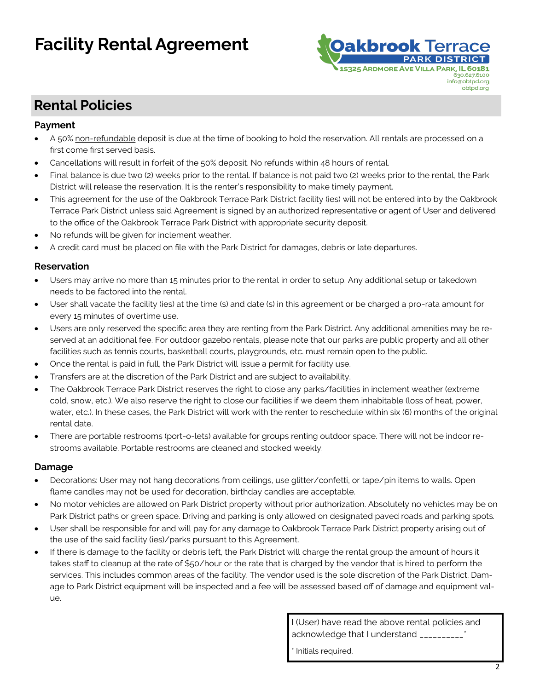

### **Rental Policies**

#### **Payment**

- A 50% non-refundable deposit is due at the time of booking to hold the reservation. All rentals are processed on a first come first served basis.
- Cancellations will result in forfeit of the 50% deposit. No refunds within 48 hours of rental.
- Final balance is due two (2) weeks prior to the rental. If balance is not paid two (2) weeks prior to the rental, the Park District will release the reservation. It is the renter's responsibility to make timely payment.
- This agreement for the use of the Oakbrook Terrace Park District facility (ies) will not be entered into by the Oakbrook Terrace Park District unless said Agreement is signed by an authorized representative or agent of User and delivered to the office of the Oakbrook Terrace Park District with appropriate security deposit.
- No refunds will be given for inclement weather.
- A credit card must be placed on file with the Park District for damages, debris or late departures.

#### **Reservation**

- Users may arrive no more than 15 minutes prior to the rental in order to setup. Any additional setup or takedown needs to be factored into the rental.
- User shall vacate the facility (ies) at the time (s) and date (s) in this agreement or be charged a pro-rata amount for every 15 minutes of overtime use.
- Users are only reserved the specific area they are renting from the Park District. Any additional amenities may be reserved at an additional fee. For outdoor gazebo rentals, please note that our parks are public property and all other facilities such as tennis courts, basketball courts, playgrounds, etc. must remain open to the public.
- Once the rental is paid in full, the Park District will issue a permit for facility use.
- Transfers are at the discretion of the Park District and are subject to availability.
- The Oakbrook Terrace Park District reserves the right to close any parks/facilities in inclement weather (extreme cold, snow, etc.). We also reserve the right to close our facilities if we deem them inhabitable (loss of heat, power, water, etc.). In these cases, the Park District will work with the renter to reschedule within six (6) months of the original rental date.
- There are portable restrooms (port-o-lets) available for groups renting outdoor space. There will not be indoor restrooms available. Portable restrooms are cleaned and stocked weekly.

#### **Damage**

- Decorations: User may not hang decorations from ceilings, use glitter/confetti, or tape/pin items to walls. Open flame candles may not be used for decoration, birthday candles are acceptable.
- No motor vehicles are allowed on Park District property without prior authorization. Absolutely no vehicles may be on Park District paths or green space. Driving and parking is only allowed on designated paved roads and parking spots.
- User shall be responsible for and will pay for any damage to Oakbrook Terrace Park District property arising out of the use of the said facility (ies)/parks pursuant to this Agreement.
- If there is damage to the facility or debris left, the Park District will charge the rental group the amount of hours it takes staff to cleanup at the rate of \$50/hour or the rate that is charged by the vendor that is hired to perform the services. This includes common areas of the facility. The vendor used is the sole discretion of the Park District. Damage to Park District equipment will be inspected and a fee will be assessed based off of damage and equipment value.

I (User) have read the above rental policies and acknowledge that I understand \_\_\_\_\_\_\_\_\_

Initials required.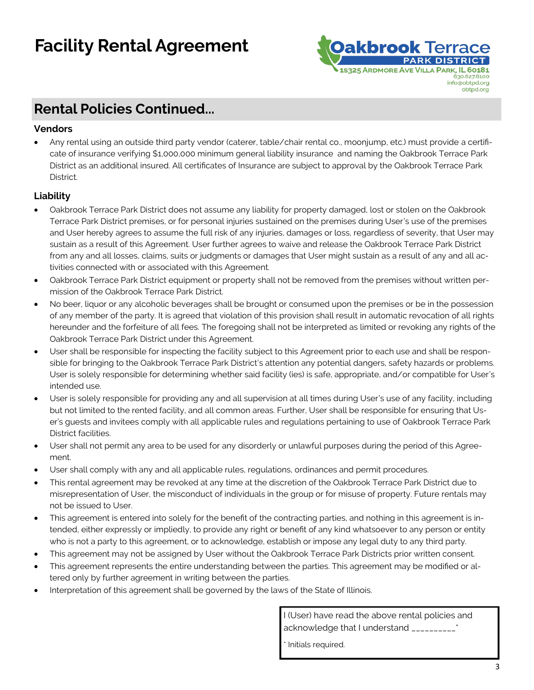

### **Rental Policies Continued...**

#### **Vendors**

• Any rental using an outside third party vendor (caterer, table/chair rental co., moonjump, etc.) must provide a certificate of insurance verifying \$1,000,000 minimum general liability insurance and naming the Oakbrook Terrace Park District as an additional insured. All certificates of Insurance are subject to approval by the Oakbrook Terrace Park District.

#### **Liability**

- Oakbrook Terrace Park District does not assume any liability for property damaged, lost or stolen on the Oakbrook Terrace Park District premises, or for personal injuries sustained on the premises during User's use of the premises and User hereby agrees to assume the full risk of any injuries, damages or loss, regardless of severity, that User may sustain as a result of this Agreement. User further agrees to waive and release the Oakbrook Terrace Park District from any and all losses, claims, suits or judgments or damages that User might sustain as a result of any and all activities connected with or associated with this Agreement.
- Oakbrook Terrace Park District equipment or property shall not be removed from the premises without written permission of the Oakbrook Terrace Park District.
- No beer, liquor or any alcoholic beverages shall be brought or consumed upon the premises or be in the possession of any member of the party. It is agreed that violation of this provision shall result in automatic revocation of all rights hereunder and the forfeiture of all fees. The foregoing shall not be interpreted as limited or revoking any rights of the Oakbrook Terrace Park District under this Agreement.
- User shall be responsible for inspecting the facility subject to this Agreement prior to each use and shall be responsible for bringing to the Oakbrook Terrace Park District's attention any potential dangers, safety hazards or problems. User is solely responsible for determining whether said facility (ies) is safe, appropriate, and/or compatible for User's intended use.
- User is solely responsible for providing any and all supervision at all times during User's use of any facility, including but not limited to the rented facility, and all common areas. Further, User shall be responsible for ensuring that User's guests and invitees comply with all applicable rules and regulations pertaining to use of Oakbrook Terrace Park District facilities.
- User shall not permit any area to be used for any disorderly or unlawful purposes during the period of this Agreement.
- User shall comply with any and all applicable rules, regulations, ordinances and permit procedures.
- This rental agreement may be revoked at any time at the discretion of the Oakbrook Terrace Park District due to misrepresentation of User, the misconduct of individuals in the group or for misuse of property. Future rentals may not be issued to User.
- This agreement is entered into solely for the benefit of the contracting parties, and nothing in this agreement is intended, either expressly or impliedly, to provide any right or benefit of any kind whatsoever to any person or entity who is not a party to this agreement, or to acknowledge, establish or impose any legal duty to any third party.
- This agreement may not be assigned by User without the Oakbrook Terrace Park Districts prior written consent.
- This agreement represents the entire understanding between the parties. This agreement may be modified or altered only by further agreement in writing between the parties.
- Interpretation of this agreement shall be governed by the laws of the State of Illinois.

I (User) have read the above rental policies and acknowledge that I understand \_\_\_\_\_\_\_\_\_\_\_\*

Initials required.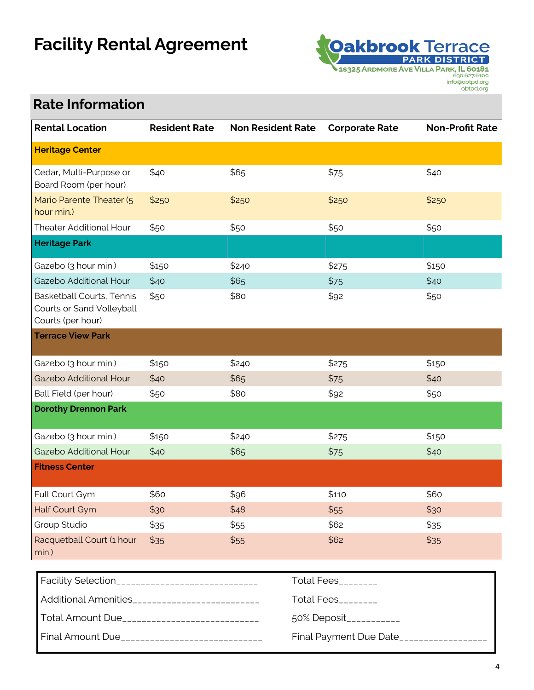

## **Rate Information**

| <b>Rental Location</b>                                                             | <b>Resident Rate</b> | <b>Non Resident Rate</b> | <b>Corporate Rate</b> | <b>Non-Profit Rate</b> |
|------------------------------------------------------------------------------------|----------------------|--------------------------|-----------------------|------------------------|
| <b>Heritage Center</b>                                                             |                      |                          |                       |                        |
| Cedar, Multi-Purpose or<br>Board Room (per hour)                                   | \$40                 | \$65                     | \$75                  | \$40                   |
| Mario Parente Theater (5<br>hour min.)                                             | \$250                | \$250                    | \$250                 | \$250                  |
| <b>Theater Additional Hour</b>                                                     | \$50                 | \$50                     | \$50                  | \$50                   |
| <b>Heritage Park</b>                                                               |                      |                          |                       |                        |
| Gazebo (3 hour min.)                                                               | \$150                | \$240                    | \$275                 | \$150                  |
| Gazebo Additional Hour                                                             | \$40                 | \$65                     | \$75                  | \$40                   |
| <b>Basketball Courts, Tennis</b><br>Courts or Sand Volleyball<br>Courts (per hour) | \$50                 | \$80                     | \$92                  | \$50                   |
| <b>Terrace View Park</b>                                                           |                      |                          |                       |                        |
| Gazebo (3 hour min.)                                                               | \$150                | \$240                    | \$275                 | \$150                  |
| Gazebo Additional Hour                                                             | \$40                 | \$65                     | \$75                  | \$40                   |
| Ball Field (per hour)                                                              | \$50                 | \$80                     | \$92                  | \$50                   |
| <b>Dorothy Drennon Park</b>                                                        |                      |                          |                       |                        |
| Gazebo (3 hour min.)                                                               | \$150                | \$240                    | \$275                 | \$150                  |
| Gazebo Additional Hour                                                             | \$40                 | \$65                     | \$75                  | \$40                   |
| <b>Fitness Center</b>                                                              |                      |                          |                       |                        |
| Full Court Gym                                                                     | \$60                 | \$96                     | \$110                 | \$60                   |
| Half Court Gym                                                                     | \$30                 | \$48                     | \$55                  | \$30                   |
| Group Studio                                                                       | \$35                 | \$55                     | \$62                  | \$35                   |
| Racquetball Court (1 hour<br>min.)                                                 | \$35                 | \$55                     | \$62                  | \$35                   |

| Facility Selection______________________________ | Total Fees_________    |
|--------------------------------------------------|------------------------|
| Additional Amenities___________________________  | Total Fees_________    |
| Total Amount Due____________________________     | 50% Deposit___________ |
| Final Amount Due______________________________   | Final Payment Due Date |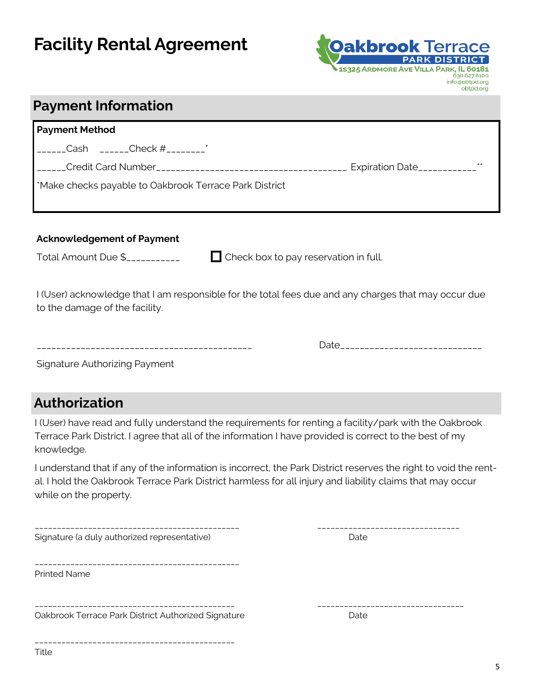

### **Payment Information**

| <b>Payment Method</b>                                                                                                                                                                                                                                                                                                   |                             |       |  |  |
|-------------------------------------------------------------------------------------------------------------------------------------------------------------------------------------------------------------------------------------------------------------------------------------------------------------------------|-----------------------------|-------|--|--|
| $\frac{1}{2}$ Cash $\frac{1}{2}$ $\frac{1}{2}$ $\frac{1}{2}$ $\frac{1}{2}$ $\frac{1}{2}$ $\frac{1}{2}$ $\frac{1}{2}$ $\frac{1}{2}$ $\frac{1}{2}$ $\frac{1}{2}$ $\frac{1}{2}$ $\frac{1}{2}$ $\frac{1}{2}$ $\frac{1}{2}$ $\frac{1}{2}$ $\frac{1}{2}$ $\frac{1}{2}$ $\frac{1}{2}$ $\frac{1}{2}$ $\frac{1}{2}$ $\frac{1}{2$ |                             |       |  |  |
|                                                                                                                                                                                                                                                                                                                         | Expiration Date____________ | $* *$ |  |  |
| Make checks payable to Oakbrook Terrace Park District                                                                                                                                                                                                                                                                   |                             |       |  |  |
|                                                                                                                                                                                                                                                                                                                         |                             |       |  |  |

#### **Acknowledgement of Payment**

Total Amount Due \$\_\_\_\_\_\_\_\_\_\_\_ Check box to pay reservation in full.

I (User) acknowledge that I am responsible for the total fees due and any charges that may occur due to the damage of the facility.

\_\_\_\_\_\_\_\_\_\_\_\_\_\_\_\_\_\_\_\_\_\_\_\_\_\_\_\_\_\_\_\_\_\_\_\_\_\_\_\_\_\_\_\_ Date\_\_\_\_\_\_\_\_\_\_\_\_\_\_\_\_\_\_\_\_\_\_\_\_\_\_\_\_\_

Signature Authorizing Payment

### **Authorization**

I (User) have read and fully understand the requirements for renting a facility/park with the Oakbrook Terrace Park District. I agree that all of the information I have provided is correct to the best of my knowledge.

I understand that if any of the information is incorrect, the Park District reserves the right to void the rental. I hold the Oakbrook Terrace Park District harmless for all injury and liability claims that may occur while on the property.

| Signature (a duly authorized representative)        | Date |
|-----------------------------------------------------|------|
|                                                     |      |
| <b>Printed Name</b>                                 |      |
|                                                     |      |
| Oakbrook Terrace Park District Authorized Signature | Date |
|                                                     |      |

\_\_\_\_\_\_\_\_\_\_\_\_\_\_\_\_\_\_\_\_\_\_\_\_\_\_\_\_\_\_\_\_\_\_\_\_\_\_\_\_\_\_\_\_\_\_ \_\_\_\_\_\_\_\_\_\_\_\_\_\_\_\_\_\_\_\_\_\_\_\_\_\_\_\_\_\_\_\_

Title

\_\_\_\_\_\_\_\_\_\_\_\_\_\_\_\_\_\_\_\_\_\_\_\_\_\_\_\_\_\_\_\_\_\_\_\_\_\_\_\_\_\_\_\_\_ \_\_\_\_\_\_\_\_\_\_\_\_\_\_\_\_\_\_\_\_\_\_\_\_\_\_\_\_\_\_\_\_\_